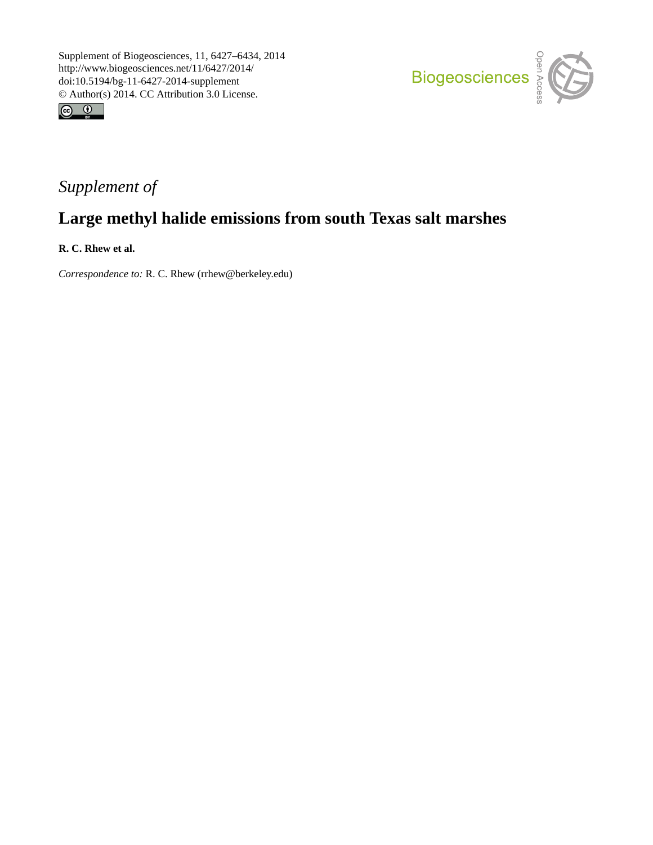



## *Supplement of*

# **Large methyl halide emissions from south Texas salt marshes**

**R. C. Rhew et al.**

*Correspondence to:* R. C. Rhew (rrhew@berkeley.edu)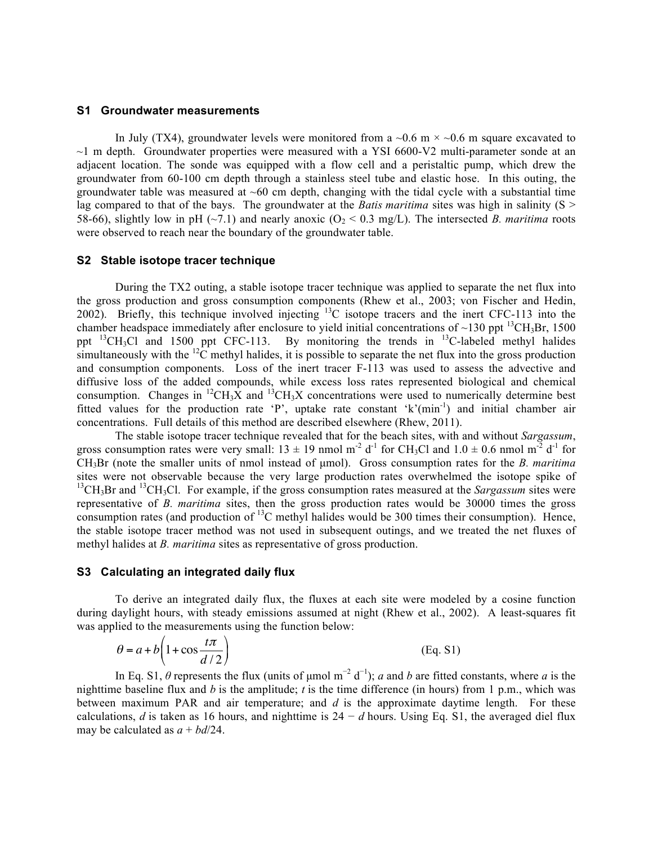#### **S1 Groundwater measurements**

In July (TX4), groundwater levels were monitored from a  $\sim$ 0.6 m  $\times$   $\sim$ 0.6 m square excavated to  $\sim$ 1 m depth. Groundwater properties were measured with a YSI 6600-V2 multi-parameter sonde at an adjacent location. The sonde was equipped with a flow cell and a peristaltic pump, which drew the groundwater from 60-100 cm depth through a stainless steel tube and elastic hose. In this outing, the groundwater table was measured at  $~60$  cm depth, changing with the tidal cycle with a substantial time lag compared to that of the bays. The groundwater at the *Batis maritima* sites was high in salinity (S > 58-66), slightly low in pH ( $\sim$ 7.1) and nearly anoxic (O<sub>2</sub> < 0.3 mg/L). The intersected *B. maritima* roots were observed to reach near the boundary of the groundwater table.

#### **S2 Stable isotope tracer technique**

During the TX2 outing, a stable isotope tracer technique was applied to separate the net flux into the gross production and gross consumption components (Rhew et al., 2003; von Fischer and Hedin, 2002). Briefly, this technique involved injecting  $^{13}$ C isotope tracers and the inert CFC-113 into the chamber headspace immediately after enclosure to yield initial concentrations of ~130 ppt  $^{13}CH_3Br$ , 1500 ppt  $^{13}CH_3Cl$  and 1500 ppt CFC-113. By monitoring the trends in  $^{13}C$ -labeled methyl halides simultaneously with the  ${}^{12}C$  methyl halides, it is possible to separate the net flux into the gross production and consumption components. Loss of the inert tracer F-113 was used to assess the advective and diffusive loss of the added compounds, while excess loss rates represented biological and chemical consumption. Changes in  ${}^{12}CH_3X$  and  ${}^{13}CH_3X$  concentrations were used to numerically determine best fitted values for the production rate 'P', uptake rate constant 'k'( $min^{-1}$ ) and initial chamber air concentrations. Full details of this method are described elsewhere (Rhew, 2011).

The stable isotope tracer technique revealed that for the beach sites, with and without *Sargassum*, gross consumption rates were very small:  $13 \pm 19$  nmol m<sup>-2</sup> d<sup>-1</sup> for CH<sub>3</sub>Cl and  $1.0 \pm 0.6$  nmol m<sup>-2</sup> d<sup>-1</sup> for CH3Br (note the smaller units of nmol instead of µmol). Gross consumption rates for the *B. maritima* sites were not observable because the very large production rates overwhelmed the isotope spike of <sup>13</sup>CH<sub>3</sub>Br and <sup>13</sup>CH<sub>3</sub>Cl. For example, if the gross consumption rates measured at the *Sargassum* sites were representative of *B. maritima* sites, then the gross production rates would be 30000 times the gross consumption rates (and production of  $^{13}$ C methyl halides would be 300 times their consumption). Hence, the stable isotope tracer method was not used in subsequent outings, and we treated the net fluxes of methyl halides at *B. maritima* sites as representative of gross production.

#### **S3 Calculating an integrated daily flux**

To derive an integrated daily flux, the fluxes at each site were modeled by a cosine function during daylight hours, with steady emissions assumed at night (Rhew et al., 2002). A least-squares fit was applied to the measurements using the function below:

$$
\theta = a + b \left( 1 + \cos \frac{t\pi}{d/2} \right) \tag{Eq. S1}
$$

In Eq. S1,  $\theta$  represents the flux (units of µmol m<sup>-2</sup> d<sup>-1</sup>); *a* and *b* are fitted constants, where *a* is the nighttime baseline flux and *b* is the amplitude; *t* is the time difference (in hours) from 1 p.m., which was between maximum PAR and air temperature; and *d* is the approximate daytime length. For these calculations, *d* is taken as 16 hours, and nighttime is  $24 - d$  hours. Using Eq. S1, the averaged diel flux may be calculated as  $a + bd/24$ .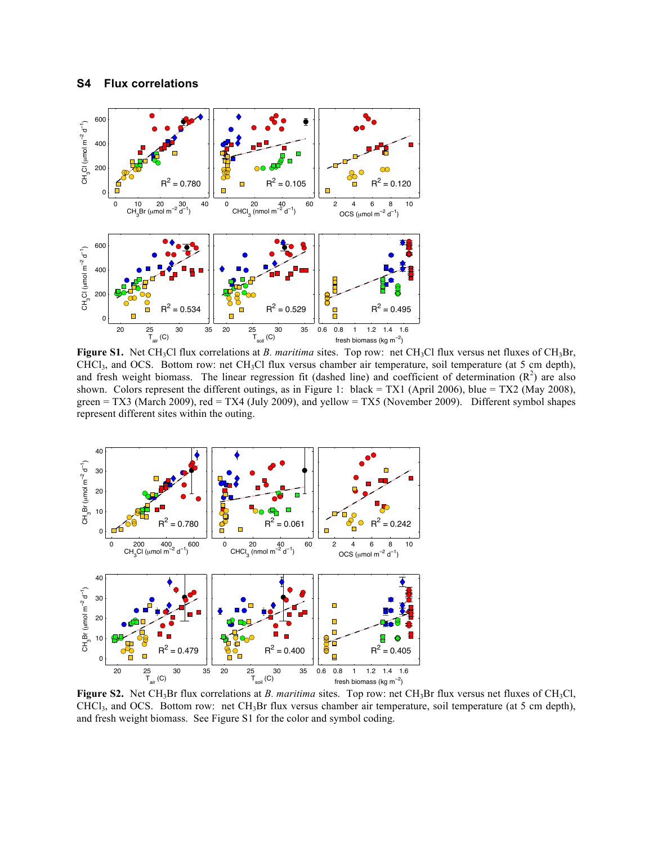

Figure S1. Net CH<sub>3</sub>Cl flux correlations at *B. maritima* sites. Top row: net CH<sub>3</sub>Cl flux versus net fluxes of CH<sub>3</sub>Br, CHCl3, and OCS. Bottom row: net CH3Cl flux versus chamber air temperature, soil temperature (at 5 cm depth), and fresh weight biomass. The linear regression fit (dashed line) and coefficient of determination  $(R^2)$  are also shown. Colors represent the different outings, as in Figure 1: black = TX1 (April 2006), blue = TX2 (May 2008), green = TX3 (March 2009), red = TX4 (July 2009), and yellow = TX5 (November 2009). Different symbol shapes represent different sites within the outing.



**Figure S2.** Net CH<sub>3</sub>Br flux correlations at *B. maritima* sites. Top row: net CH<sub>3</sub>Br flux versus net fluxes of CH<sub>3</sub>Cl,  $CHCl<sub>3</sub>$ , and OCS. Bottom row: net  $CH<sub>3</sub>Br$  flux versus chamber air temperature, soil temperature (at 5 cm depth), and fresh weight biomass. See Figure S1 for the color and symbol coding.